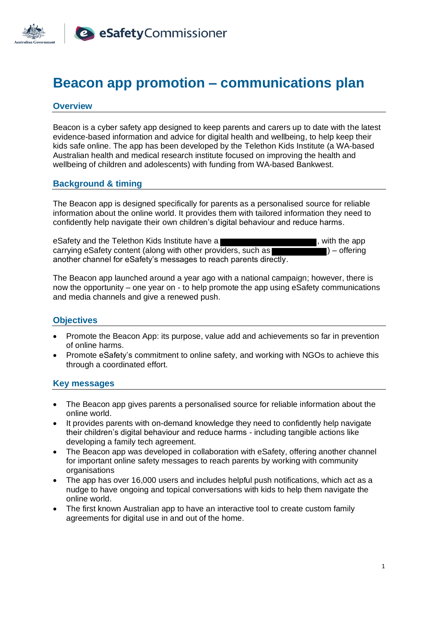

# **Beacon app promotion – communications plan**

#### **Overview**

Beacon is a cyber safety app designed to keep parents and carers up to date with the latest evidence-based information and advice for digital health and wellbeing, to help keep their kids safe online. The app has been developed by the Telethon Kids Institute (a WA-based Australian health and medical research institute focused on improving the health and wellbeing of children and adolescents) with funding from WA-based Bankwest.

#### **Background & timing**

The Beacon app is designed specifically for parents as a personalised source for reliable information about the online world. It provides them with tailored information they need to confidently help navigate their own children's digital behaviour and reduce harms.

eSafety and the Telethon Kids Institute have a **state of the set of the and the app** and the app and the app and the app and the app and the app and the app and the app and the state of the state of the state of the state carrying eSafety content (along with other providers, such as  $\Box$ ) – offering another channel for eSafety's messages to reach parents directly.

The Beacon app launched around a year ago with a national campaign; however, there is now the opportunity – one year on - to help promote the app using eSafety communications and media channels and give a renewed push.

#### **Objectives**

- Promote the Beacon App: its purpose, value add and achievements so far in prevention of online harms.
- Promote eSafety's commitment to online safety, and working with NGOs to achieve this through a coordinated effort.

#### **Key messages**

- The Beacon app gives parents a personalised source for reliable information about the online world.
- It provides parents with on-demand knowledge they need to confidently help navigate their children's digital behaviour and reduce harms - including tangible actions like developing a family tech agreement.
- The Beacon app was developed in collaboration with eSafety, offering another channel for important online safety messages to reach parents by working with community organisations
- The app has over 16,000 users and includes helpful push notifications, which act as a nudge to have ongoing and topical conversations with kids to help them navigate the online world.
- The first known Australian app to have an interactive tool to create custom family agreements for digital use in and out of the home.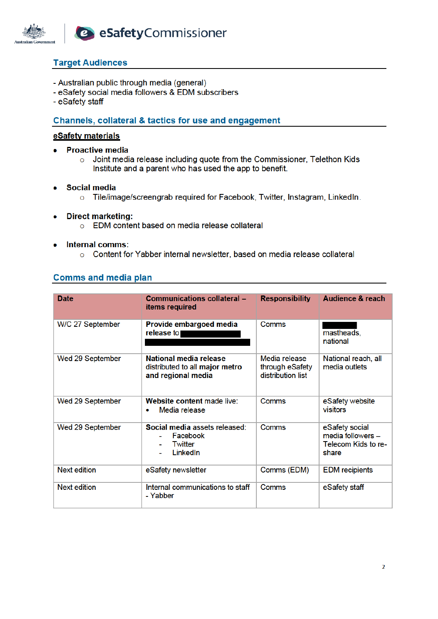

# **Target Audiences**

- Australian public through media (general)
- eSafety social media followers & EDM subscribers
- eSafety staff

## Channels, collateral & tactics for use and engagement

#### eSafety materials

- **Proactive media**  $\bullet$ 
	- o Joint media release including quote from the Commissioner, Telethon Kids Institute and a parent who has used the app to benefit.
- **Social media**  $\bullet$ 
	- o Tile/image/screengrab required for Facebook, Twitter, Instagram, LinkedIn.
- **Direct marketing:** 
	- o EDM content based on media release collateral
- **Internal comms:**  $\bullet$ 
	- o Content for Yabber internal newsletter, based on media release collateral

| <b>Date</b>         | Communications collateral -<br>items required                                  | <b>Responsibility</b>                                 | <b>Audience &amp; reach</b>                                         |
|---------------------|--------------------------------------------------------------------------------|-------------------------------------------------------|---------------------------------------------------------------------|
| W/C 27 September    | Provide embargoed media<br>release to                                          | Comms                                                 | mastheads,<br>national                                              |
| Wed 29 September    | National media release<br>distributed to all major metro<br>and regional media | Media release<br>through eSafety<br>distribution list | National reach, all<br>media outlets                                |
| Wed 29 September    | Website content made live:<br>Media release                                    | Comms                                                 | eSafety website<br>visitors                                         |
| Wed 29 September    | Social media assets released:<br>Facebook<br>Twitter<br>LinkedIn               | Comms                                                 | eSafety social<br>media followers -<br>Telecom Kids to re-<br>share |
| <b>Next edition</b> | eSafety newsletter                                                             | Comms (EDM)                                           | <b>EDM</b> recipients                                               |
| <b>Next edition</b> | Internal communications to staff<br>- Yabber                                   | Comms                                                 | eSafety staff                                                       |

# **Comms and media plan**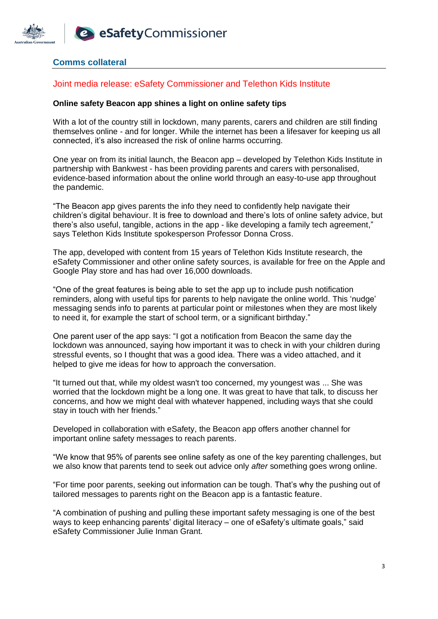

# **Comms collateral**

### Joint media release: eSafety Commissioner and Telethon Kids Institute

#### **Online safety Beacon app shines a light on online safety tips**

With a lot of the country still in lockdown, many parents, carers and children are still finding themselves online - and for longer. While the internet has been a lifesaver for keeping us all connected, it's also increased the risk of online harms occurring.

One year on from its initial launch, the Beacon app – developed by Telethon Kids Institute in partnership with Bankwest - has been providing parents and carers with personalised, evidence-based information about the online world through an easy-to-use app throughout the pandemic.

"The Beacon app gives parents the info they need to confidently help navigate their children's digital behaviour. It is free to download and there's lots of online safety advice, but there's also useful, tangible, actions in the app - like developing a family tech agreement," says Telethon Kids Institute spokesperson Professor Donna Cross.

The app, developed with content from 15 years of Telethon Kids Institute research, the eSafety Commissioner and other online safety sources, is available for free on the Apple and Google Play store and has had over 16,000 downloads.

"One of the great features is being able to set the app up to include push notification reminders, along with useful tips for parents to help navigate the online world. This 'nudge' messaging sends info to parents at particular point or milestones when they are most likely to need it, for example the start of school term, or a significant birthday."

One parent user of the app says: "I got a notification from Beacon the same day the lockdown was announced, saying how important it was to check in with your children during stressful events, so I thought that was a good idea. There was a video attached, and it helped to give me ideas for how to approach the conversation.

"It turned out that, while my oldest wasn't too concerned, my youngest was ... She was worried that the lockdown might be a long one. It was great to have that talk, to discuss her concerns, and how we might deal with whatever happened, including ways that she could stay in touch with her friends."

Developed in collaboration with eSafety, the Beacon app offers another channel for important online safety messages to reach parents.

"We know that 95% of parents see online safety as one of the key parenting challenges, but we also know that parents tend to seek out advice only *after* something goes wrong online.

"For time poor parents, seeking out information can be tough. That's why the pushing out of tailored messages to parents right on the Beacon app is a fantastic feature.

"A combination of pushing and pulling these important safety messaging is one of the best ways to keep enhancing parents' digital literacy – one of eSafety's ultimate goals," said eSafety Commissioner Julie Inman Grant.